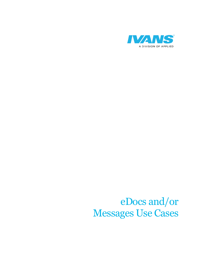

### eDocs and/or Messages Use Cases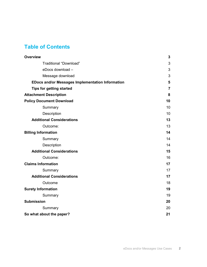### Table of Contents

| <b>Overview</b>                                         | 3  |
|---------------------------------------------------------|----|
| <b>Traditional "Download"</b>                           | 3  |
| eDocs download -                                        | 3  |
| Message download                                        | 3  |
| <b>EDocs and/or Messages Implementation Information</b> | 5  |
| <b>Tips for getting started</b>                         | 7  |
| <b>Attachment Description</b>                           | 8  |
| <b>Policy Document Download</b>                         | 10 |
| Summary                                                 | 10 |
| Description                                             | 10 |
| <b>Additional Considerations</b>                        | 13 |
| Outcome:                                                | 13 |
| <b>Billing Information</b>                              | 14 |
| Summary                                                 | 14 |
| Description                                             | 14 |
| <b>Additional Considerations</b>                        | 15 |
| Outcome:                                                | 16 |
| <b>Claims Information</b>                               | 17 |
| Summary                                                 | 17 |
| <b>Additional Considerations</b>                        | 17 |
| Outcome                                                 | 18 |
| <b>Surety Information</b>                               | 19 |
| Summary                                                 | 19 |
| <b>Submission</b>                                       | 20 |
| Summary                                                 | 20 |
| So what about the paper?                                | 21 |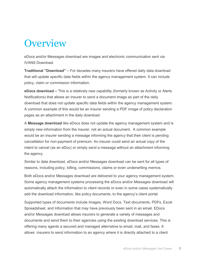### **Overview**

eDocs and/or Messages download are images and electronic communication sent via IVANS Download.

Traditional "Download" – For decades many insurers have offered daily data download that will update specific data fields within the agency management system. It can include policy, claim or commission information.

eDocs download – This is a relatively new capability (formerly known as Activity or Alerts Notifications) that allows an insurer to send a document image as part of the daily download that does not update specific data fields within the agency management system. A common example of this would be an insurer sending a PDF image of policy declaration pages as an attachment in the daily download.

A Message download like eDocs does not update the agency management system and is simply new information from the insurer, not an actual document. A common example would be an insurer sending a message informing the agency that their client is pending cancellation for non-payment of premium. An insurer could send an actual copy of the intent to cancel (as an eDoc) or simply send a message without an attachment informing the agency.

Similar to data download, eDocs and/or Messages download can be sent for all types of reasons, including policy, billing, commissions, claims or even underwriting memos.

Both eDocs and/or Messages download are delivered to your agency management system. Some agency management systems processing the eDocs and/or Messages download will automatically attach the information to client records or even in some cases systematically add the download information, like policy documents, to the agency's client portal.

Supported types of documents include Images, Word Docs, Text documents, PDFs, Excel Spreadsheet, and Information that may have previously been sent in an email. EDocs and/or Messages download allows insurers to generate a variety of messages and documents and send them to their agencies using the existing download services. This is offering many agents a secured and managed alternative to email, mail, and faxes. It allows insurers to send information to an agency where it is directly attached to a client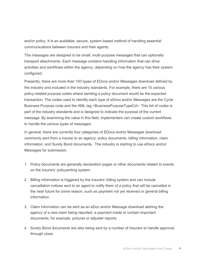and/or policy. It is an auditable, secure, system-based method of handling essential communications between insurers and their agents.

The messages are designed to be small, multi‐purpose messages that can optionally transport attachments. Each message contains handling information that can drive activities and workflows within the agency, depending on how the agency has their system configured.

Presently, there are more than 100 types of EDocs and/or Messages download defined by the industry and included in the industry standards. For example, there are 15 various policy‐related purpose codes where sending a policy document would be the expected transaction. The codes used to identify each type of eDocs and/or Messages are the Cycle Business Purpose code and the XML tag <BusinessPurposeTypeCd>. This list of codes is part of the industry standards and is designed to indicate the purpose of the current message. By examining the value in this field, implementers can create custom workflows to handle the various types of messages.

In general, there are currently four categories of EDocs and/or Messages download commonly sent from a insurer to an agency: policy documents, billing information, claim information, and Surety Bond documents. The industry is starting to use eDocs and/or Messages for submission.

- 1. Policy documents are generally declaration pages or other documents related to events on the insurers' policywriting system.
- 2. Billing information is triggered by the insurers' billing system and can include cancellation notices sent to an agent to notify them of a policy that will be cancelled in the near future for some reason, such as payment not yet received or general billing information.
- 3. Claim information can be sent as an eDoc and/or Message download alerting the agency of a new claim being reported, a payment made or contain important documents, for example, pictures or adjuster reports.
- 4. Surety Bond documents are also being sent by a number of insurers to handle approval through close.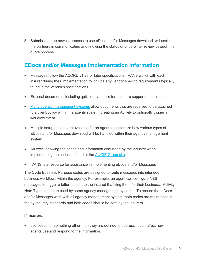5. Submission, the newest process to use eDocs and/or Messages download, will assist the partners in communicating and knowing the status of underwriter review through the quote process.

#### EDocs and/or Messages Implementation Information

- Messages follow the ACORD v1.23 or later specifications. IVANS works with each insurer during their implementation to include any vendor specific requirements typically found in the vendor's specifications
- External documents, including .pdf, .doc and .xls formats, are supported at this time
- Many agency management systems allow documents that are received to be attached to a client/policy within the agents system, creating an Activity to optionally trigger a workflow event
- Multiple setup options are available for an agent to customize how various types of EDocs and/or Messages download will be handled within their agency management system
- An excel showing the codes and information discussed by the industry when implementing the codes is found at the AUGIE Group site.
- IVANS is a resource for assistance in implementing eDocs and/or Messages

The Cycle Business Purpose codes are designed to route messages into intended business workflows within the agency. For example, an agent can configure NBS messages to trigger a letter be sent to the insured thanking them for their business. Activity Note Type codes are used by some agency management systems. To ensure that eDocs and/or Messages work with all agency management system, both codes are maintained in the by industry standards and both codes should be sent by the insurers.

#### If insurers,

 use codes for something other than they are defined to address, it can affect how agents use and respond to the information.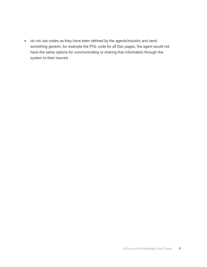do not use codes as they have been defined by the agents/industry and send something generic, for example the POL code for all Dec pages, the agent would not have the same options for communicating or sharing that information through the system to their insured.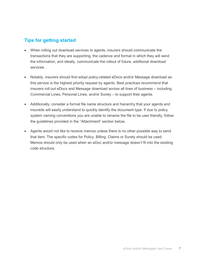#### Tips for getting started

- When rolling out download services to agents, insurers should communicate the transactions that they are supporting, the cadence and format in which they will send the information, and ideally, communicate the rollout of future, additional download services.
- Notably, insurers should first adopt policy-related eDocs and/or Message download as this service is the highest priority request by agents. Best practices recommend that insurers roll out eDocs and Message download across all lines of business – including Commercial Lines, Personal Lines, and/or Surety – to support their agents.
- Additionally, consider a formal file name structure and hierarchy that your agents and insureds will easily understand to quickly identify the document type. If due to policy system naming conventions you are unable to rename the file to be user friendly, follow the guidelines provided in the "Attachment" section below.
- Agents would not like to receive memos unless there is no other possible way to send that item. The specific codes for Policy, Billing, Claims or Surety should be used. Memos should only be used when an eDoc and/or message doesn't fit into the existing code structure.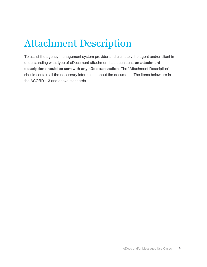# Attachment Description

To assist the agency management system provider and ultimately the agent and/or client in understanding what type of eDocument attachment has been sent, an attachment description should be sent with any eDoc transaction. The "Attachment Description" should contain all the necessary information about the document. The items below are in the ACORD 1.3 and above standards.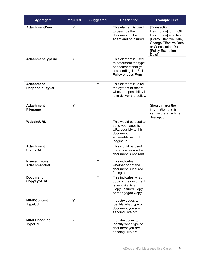| <b>Aggregate</b>                             | <b>Required</b> | <b>Suggested</b> | <b>Description</b>                                                                                                     | <b>Example Text</b>                                                                                                                                                                 |
|----------------------------------------------|-----------------|------------------|------------------------------------------------------------------------------------------------------------------------|-------------------------------------------------------------------------------------------------------------------------------------------------------------------------------------|
| <b>AttachmentDesc</b>                        | Y               |                  | This element is used<br>to describe the<br>document to the<br>agent and or insured.                                    | [Transaction<br>Description] for [LOB<br>Description] effective<br>[Policy Effective Date,<br><b>Change Effective Date</b><br>or Cancellation Date]-<br>[Policy Expiration<br>Date] |
| AttachmentTypeCd                             | Y               |                  | This element is used<br>to determent the type<br>of document that you<br>are sending like Full<br>Policy or Loss Runs. |                                                                                                                                                                                     |
| <b>Attachment</b><br>ResponsibilityCd        |                 | Y                | This element is to tell<br>the system of record<br>whose responsibility it<br>is to deliver the policy.                |                                                                                                                                                                                     |
| <b>Attachment</b><br><b>Filename</b>         | Y               |                  |                                                                                                                        | Should mirror the<br>information that is<br>sent in the attachment<br>description.                                                                                                  |
| WebsiteURL                                   |                 |                  | This would be used to<br>send your website<br>URL possibly to this<br>document if<br>accessible without<br>logging in. |                                                                                                                                                                                     |
| <b>Attachment</b><br><b>StatusCd</b>         |                 |                  | This would be used if<br>there is a reason the<br>document is not sent.                                                |                                                                                                                                                                                     |
| <b>InsuredFacing</b><br><b>AttachmentInd</b> |                 | Y                | This indicates<br>whether or not the<br>document is insured<br>facing or not.                                          |                                                                                                                                                                                     |
| <b>Document</b><br>CopyTypeCd                |                 | Υ                | This indicates what<br>copy of the document<br>is sent like Agent<br>Copy, Insured Copy<br>or Mortgagee Copy.          |                                                                                                                                                                                     |
| <b>MIMEContent</b><br><b>TypeCd</b>          | Y               |                  | Industry codes to<br>identify what type of<br>document you are<br>sending, like pdf.                                   |                                                                                                                                                                                     |
| <b>MIMEEncoding</b><br><b>TypeCd</b>         | Y               |                  | Industry codes to<br>identify what type of<br>document you are<br>sending, like pdf.                                   |                                                                                                                                                                                     |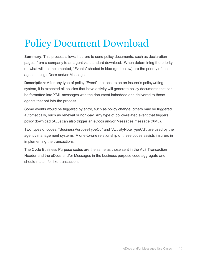# Policy Document Download

Summary: This process allows insurers to send policy documents, such as declaration pages, from a company to an agent via standard download. When determining the priority on what will be implemented, "Events" shaded in blue (grid below) are the priority of the agents using eDocs and/or Messages.

**Description**: After any type of policy "Event" that occurs on an insurer's policywriting system, it is expected all policies that have activity will generate policy documents that can be formatted into XML messages with the document imbedded and delivered to those agents that opt into the process.

Some events would be triggered by entry, such as policy change, others may be triggered automatically, such as renewal or non‐pay. Any type of policy-related event that triggers policy download (AL3) can also trigger an eDocs and/or Messages message (XML).

Two types of codes, "BusinessPurposeTypeCd" and "ActivityNoteTypeCd", are used by the agency management systems. A one-to-one relationship of these codes assists insurers in implementing the transactions.

The Cycle Business Purpose codes are the same as those sent in the AL3 Transaction Header and the eDocs and/or Messages in the business purpose code aggregate and should match for like transactions.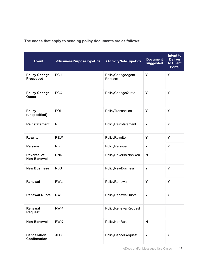| <b>Event</b>                               | <businesspurposetypecd></businesspurposetypecd> | <activitynotetypecd></activitynotetypecd> | <b>Document</b><br>suggested | Intent to<br><b>Deliver</b><br>to Client<br><b>Portal</b> |
|--------------------------------------------|-------------------------------------------------|-------------------------------------------|------------------------------|-----------------------------------------------------------|
| <b>Policy Change</b><br><b>Processed</b>   | <b>PCH</b>                                      | PolicyChangeAgent<br>Request              | Υ                            | Y                                                         |
| <b>Policy Change</b><br>Quote              | <b>PCQ</b>                                      | PolicyChangeQuote                         | Υ                            | Y                                                         |
| <b>Policy</b><br>(unspecified)             | POL                                             | PolicyTransaction                         | Y                            | Y                                                         |
| Reinstatement                              | <b>REI</b>                                      | PolicyReinstatement                       | Υ                            | Y                                                         |
| <b>Rewrite</b>                             | <b>REW</b>                                      | PolicyRewrite                             | Y                            | Y                                                         |
| <b>Reissue</b>                             | <b>RIX</b>                                      | PolicyRelssue                             | Y                            | Y                                                         |
| <b>Reversal of</b><br>Non-Renewal          | <b>RNR</b>                                      | PolicyReversalNonRen                      | $\mathsf{N}$                 |                                                           |
| <b>New Business</b>                        | <b>NBS</b>                                      | PolicyNewBusiness                         | Υ                            | Y                                                         |
| Renewal                                    | <b>RWL</b>                                      | PolicyRenewal                             | Y                            | Y                                                         |
| <b>Renewal Quote</b>                       | <b>RWQ</b>                                      | PolicyRenewalQuote                        | Υ                            | Y                                                         |
| Renewal<br><b>Request</b>                  | <b>RWR</b>                                      | PolicyRenewalRequest                      |                              |                                                           |
| Non-Renewal                                | <b>RWX</b>                                      | PolicyNonRen                              | $\mathsf{N}$                 |                                                           |
| <b>Cancellation</b><br><b>Confirmation</b> | <b>XLC</b>                                      | PolicyCancelRequest                       | Υ                            | Y                                                         |

The codes that apply to sending policy documents are as follows: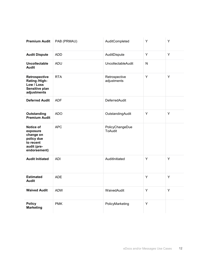| <b>Premium Audit</b>                                                                                | PAB (PRMAU) | AuditCompleted                    | Y | Y |
|-----------------------------------------------------------------------------------------------------|-------------|-----------------------------------|---|---|
| <b>Audit Dispute</b>                                                                                | <b>ADD</b>  | AuditDispute                      | Y | Y |
| Uncollectable<br><b>Audit</b>                                                                       | <b>ADU</b>  | <b>UncollectableAudit</b>         | N |   |
| Retrospective<br>Rating /High-<br>Low / Loss<br>Sensitive plan<br>adjustments                       | <b>RTA</b>  | Retrospective<br>adjustments      | Y | Y |
| <b>Deferred Audit</b>                                                                               | <b>ADF</b>  | <b>DeferredAudit</b>              |   |   |
| Outstanding<br><b>Premium Audit</b>                                                                 | <b>ADO</b>  | OutstandingAudit                  | Y | Y |
| <b>Notice of</b><br>exposure<br>change on<br>policy due<br>to recent<br>audit (pre-<br>endorsement) | <b>APC</b>  | PolicyChangeDue<br><b>ToAudit</b> |   |   |
| <b>Audit Initiated</b>                                                                              | <b>ADI</b>  | AuditInitiated                    | Y | Y |
| <b>Estimated</b><br><b>Audit</b>                                                                    | <b>ADE</b>  |                                   | Y | Y |
| <b>Waived Audit</b>                                                                                 | <b>ADW</b>  | WaivedAudit                       | Y | Y |
| <b>Policy</b><br><b>Marketing</b>                                                                   | <b>PMK</b>  | PolicyMarketing                   | Y |   |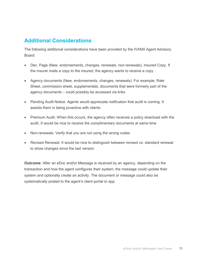#### Additional Considerations

The following additional considerations have been provided by the IVANS Agent Advisory Board:

- Dec. Page (New, endorsements, changes, renewals, non-renewals), Insured Copy. If the insurer mails a copy to the insured, the agency wants to receive a copy
- Agency documents (New, endorsements, changes, renewals). For example, Rate Sheet, commission sheet, supplementals, documents that were formerly part of the agency documents – could possibly be accessed via links
- Pending Audit Notice. Agents would appreciate notification that audit is coming. It assists them in being proactive with clients
- Premium Audit. When this occurs, the agency often receives a policy download with the audit. It would be nice to receive the complimentary documents at same time
- Non-renewals. Verify that you are not using the wrong codes
- Revised Renewal. It would be nice to distinguish between revised vs. standard renewal to show changes since the last version

Outcome: After an eDoc and/or Message is received by an agency, depending on the transaction and how the agent configures their system, the message could update their system and optionally create an activity. The document or message could also be systematically posted to the agent's client portal or app.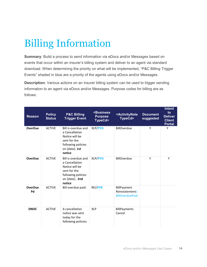# Billing Information

Summary: Build a process to send information via eDocs and/or Messages based on events that occur within an insurer's billing system and deliver to an agent via standard download. When determining the priority on what will be implemented, "P&C Billing Trigger Events" shaded in blue are a priority of the agents using eDocs and/or Messages.

**Description**: Various actions on an insurer billing system can be used to trigger sending information to an agent via eDocs and/or Messages. Purpose codes for billing are as follows:

| <b>Reason</b>        | <b>Policy</b><br><b>Status</b> | <b>P&amp;C Billing</b><br><b>Trigger Event</b>                                                                            | <business<br><b>Purpose</b><br/>TypeCd&gt;</business<br> | <activitynote<br>TypeCd&gt;</activitynote<br>           | <b>Document</b><br>suggested | <b>Intent</b><br>to<br><b>Deliver</b><br><b>Client</b><br><b>Portal</b> |
|----------------------|--------------------------------|---------------------------------------------------------------------------------------------------------------------------|----------------------------------------------------------|---------------------------------------------------------|------------------------------|-------------------------------------------------------------------------|
| <b>OverDue</b>       | <b>ACTIVE</b>                  | Bill is overdue and<br>a Cancellation<br>Notice will be<br>sent for the<br>following policies<br>on [date]. 1st<br>notice | XLP/PYO                                                  | BillOverdue                                             | Y                            | Y                                                                       |
| <b>OverDue</b>       | <b>ACTIVE</b>                  | Bill is overdue and<br>a Cancellation<br>Notice will be<br>sent for the<br>following policies<br>on [date]. 2nd<br>notice | XLP/PYO                                                  | BillOverdue                                             | Y                            | Y                                                                       |
| <b>OverDue</b><br>Pd | <b>ACTIVE</b>                  | Bill overdue paid.                                                                                                        | <b>REI/PYR</b>                                           | BillPayment<br>Reinstatement/<br><b>BillOverduePaid</b> |                              |                                                                         |
| <b>DNOC</b>          | <b>ACTIVE</b>                  | A cancellation<br>notice was sent<br>today for the<br>following policies:                                                 | <b>XLP</b>                                               | <b>BillPayments</b><br>Cancel                           |                              |                                                                         |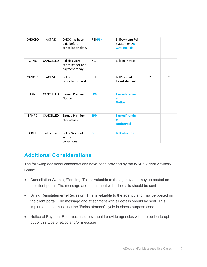| <b>DNOCPD</b> | <b>ACTIVE</b> | DNOC has been<br>paid before<br>cancellation date.    | REI/RSN    | BillPaymentsRei<br>nstatement/Bill<br><b>OverduePaid</b> |   |   |
|---------------|---------------|-------------------------------------------------------|------------|----------------------------------------------------------|---|---|
| <b>CANC</b>   | CANCELLED     | Policies were<br>cancelled for non-<br>payment today: | <b>XLC</b> | <b>BillFinalNotice</b>                                   |   |   |
| <b>CANCPD</b> | <b>ACTIVE</b> | Policy<br>cancellation paid.                          | <b>REI</b> | BillPayments<br>Reinstatement                            | Y | Υ |
| <b>EPN</b>    | CANCELLED     | <b>Earned Premium</b><br>Notice                       | <b>EPN</b> | <b>EarnedPremiu</b><br>m<br><b>Notice</b>                |   |   |
| <b>EPNPD</b>  | CANCELLED     | <b>Earned Premium</b><br>Notice paid.                 | <b>EPP</b> | <b>EarnedPremiu</b><br>m<br><b>NoticePaid</b>            |   |   |
| <b>COLL</b>   | Collections   | Policy/Account<br>sent to<br>collections.             | <b>COL</b> | <b>BillCollection</b>                                    |   |   |

#### Additional Considerations

The following additional considerations have been provided by the IVANS Agent Advisory Board:

- Cancellation Warning/Pending. This is valuable to the agency and may be posted on the client portal. The message and attachment with all details should be sent
- Billing Reinstatements/Recission. This is valuable to the agency and may be posted on the client portal. The message and attachment with all details should be sent. This implementation must use the "Reinstatement" cycle business purpose code
- Notice of Payment Received. Insurers should provide agencies with the option to opt out of this type of eDoc and/or message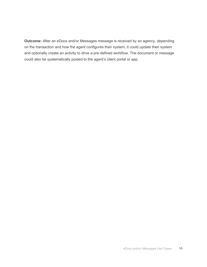Outcome: After an eDocs and/or Messages message is received by an agency, depending on the transaction and how the agent configures their system, it could update their system and optionally create an activity to drive a pre‐defined workflow. The document or message could also be systematically posted to the agent's client portal or app.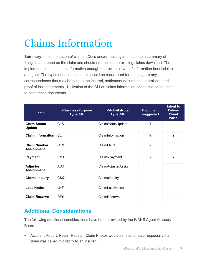# Claims Information

Summary: Implementation of claims eDocs and/or messages should be a summary of things that happen on the claim and should not replace an existing claims download. The implementation should be informative enough to provide a level of information beneficial to an agent. The types of documents that should be considered for sending are any correspondence that may be sent to the insured, settlement documents, appraisals, and proof of loss statements. Utilization of the CLI or claims information codes should be used to send these documents.

| <b>Event</b>                             | <businesspurpose<br>TypeCd&gt;</businesspurpose<br> | <activitynote<br>TypeCd&gt;</activitynote<br> | <b>Document</b><br>suggested | Intent to<br><b>Deliver</b><br><b>Client</b><br><b>Portal</b> |
|------------------------------------------|-----------------------------------------------------|-----------------------------------------------|------------------------------|---------------------------------------------------------------|
| <b>Claim Status</b><br><b>Update</b>     | <b>CLS</b>                                          | ClaimStatusUpdate                             | Y                            |                                                               |
| <b>Claim Information</b>                 | <b>CLI</b>                                          | ClaimInformation                              | Y                            | Y                                                             |
| <b>Claim Number</b><br><b>Assignment</b> | <b>CLN</b>                                          | ClaimFNOL                                     | Y                            |                                                               |
| <b>Payment</b>                           | <b>PMT</b>                                          | ClaimsPayment                                 | Y                            | Y                                                             |
| <b>Adjustor</b><br><b>Assignment</b>     | <b>ADJ</b>                                          | ClaimAdjusterAssign                           |                              |                                                               |
| <b>Claims Inquiry</b>                    | <b>CSQ</b>                                          | ClaimsInquiry                                 |                              |                                                               |
| <b>Loss Notice</b>                       | <b>LNT</b>                                          | ClaimLossNotice                               |                              |                                                               |
| <b>Claim Reserve</b>                     | <b>RES</b>                                          | ClaimReserve                                  |                              |                                                               |

#### Additional Considerations

The following additional considerations have been provided by the IVANS Agent Advisory Board:

 Accident Report, Repair Receipt, Claim Photos would be nice to have. Especially if a claim was called in directly to an insurer.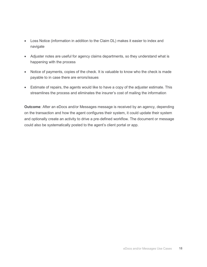- Loss Notice (information in addition to the Claim DL) makes it easier to index and navigate
- Adjuster notes are useful for agency claims departments, so they understand what is happening with the process
- Notice of payments, copies of the check. It is valuable to know who the check is made payable to in case there are errors/issues
- Estimate of repairs, the agents would like to have a copy of the adjuster estimate. This streamlines the process and eliminates the insurer's cost of mailing the information

Outcome: After an eDocs and/or Messages message is received by an agency, depending on the transaction and how the agent configures their system, it could update their system and optionally create an activity to drive a pre‐defined workflow. The document or message could also be systematically posted to the agent's client portal or app.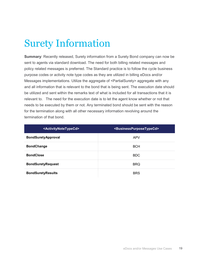### Surety Information

Summary: Recently released, Surety information from a Surety Bond company can now be sent to agents via standard download. The need for both billing related messages and policy related messages is preferred. The Standard practice is to follow the cycle business purpose codes or activity note type codes as they are utilized in billing eDocs and/or Messages implementations. Utilize the aggregate of <PartialSurety> aggregate with any and all information that is relevant to the bond that is being sent. The execution date should be utilized and sent within the remarks text of what is included for all transactions that it is relevant to. The need for the execution date is to let the agent know whether or not that needs to be executed by them or not. Any terminated bond should be sent with the reason for the termination along with all other necessary information revolving around the termination of that bond.

| <activitynotetypecd></activitynotetypecd> | <businesspurposetypecd></businesspurposetypecd> |
|-------------------------------------------|-------------------------------------------------|
| <b>BondSuretyApproval</b>                 | <b>APV</b>                                      |
| <b>BondChange</b>                         | <b>BCH</b>                                      |
| <b>BondClose</b>                          | <b>BDC</b>                                      |
| <b>BondSuretyRequest</b>                  | <b>BRQ</b>                                      |
| <b>BondSuretyResults</b>                  | <b>BRS</b>                                      |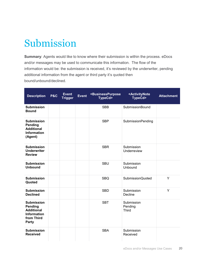### Submission

Summary: Agents would like to know where their submission is within the process. eDocs and/or messages may be used to communicate this information. The flow of the information would be: the submission is received, it's reviewed by the underwriter, pending additional information from the agent or third party it's quoted then bound/unbound/declined.

| <b>Description</b>                                                                                           | <b>P&amp;C</b> | <b>Event</b><br><b>Trigger</b> | <b>Event</b> | <businesspurpose<br>TypeCd&gt;</businesspurpose<br> | <activitynote<br>TypeCd&gt;</activitynote<br> | <b>Attachment</b> |
|--------------------------------------------------------------------------------------------------------------|----------------|--------------------------------|--------------|-----------------------------------------------------|-----------------------------------------------|-------------------|
| <b>Submission</b><br><b>Bound</b>                                                                            |                |                                |              | <b>SBB</b>                                          | <b>SubmissionBound</b>                        |                   |
| <b>Submission</b><br>Pending<br><b>Additional</b><br><b>Information</b><br>(Agent)                           |                |                                |              | <b>SBP</b>                                          | <b>SubmissionPending</b>                      |                   |
| <b>Submission</b><br><b>Underwriter</b><br><b>Review</b>                                                     |                |                                |              | <b>SBR</b>                                          | Submission<br>Underreview                     |                   |
| <b>Submission</b><br><b>Unbound</b>                                                                          |                |                                |              | <b>SBU</b>                                          | Submission<br>Unbound                         |                   |
| <b>Submission</b><br>Quoted                                                                                  |                |                                |              | <b>SBQ</b>                                          | SubmissionQuoted                              | Y                 |
| <b>Submission</b><br><b>Declined</b>                                                                         |                |                                |              | <b>SBD</b>                                          | Submission<br>Decline                         | Y                 |
| <b>Submission</b><br><b>Pending</b><br><b>Additional</b><br><b>Information</b><br>from Third<br><b>Party</b> |                |                                |              | <b>SBT</b>                                          | Submission<br>Pending<br><b>Third</b>         |                   |
| <b>Submission</b><br><b>Received</b>                                                                         |                |                                |              | <b>SBA</b>                                          | Submission<br>Received                        |                   |